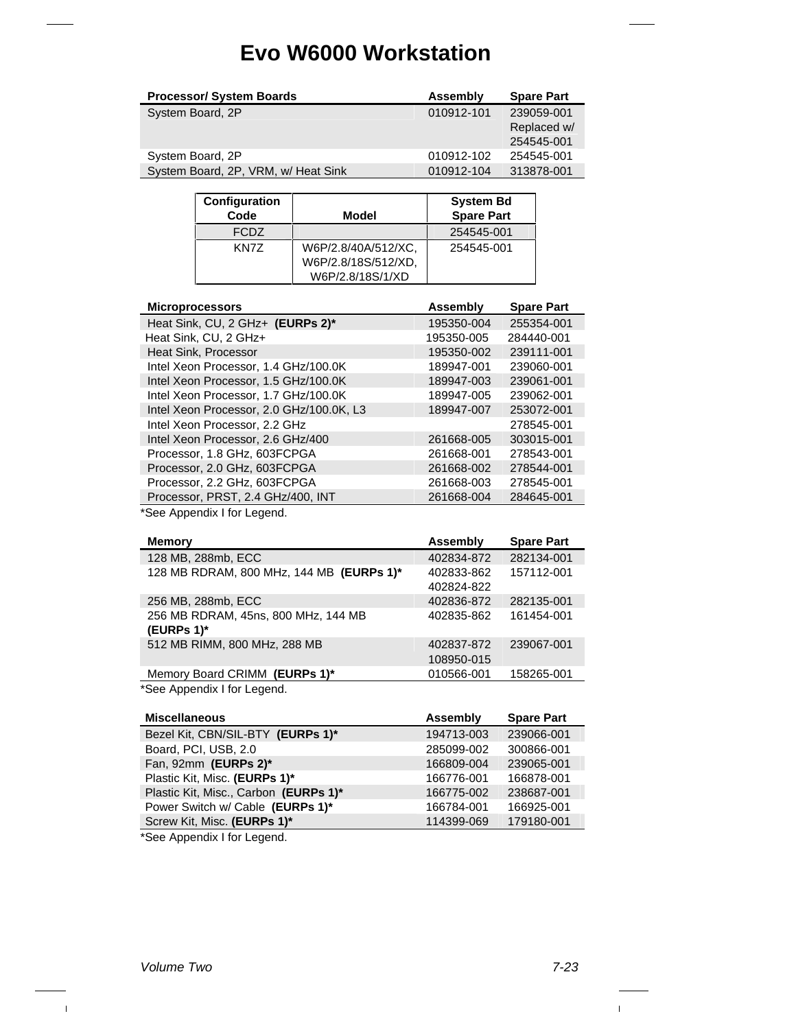| <b>Processor/ System Boards</b>     | Assembly   | <b>Spare Part</b> |
|-------------------------------------|------------|-------------------|
| System Board, 2P                    | 010912-101 | 239059-001        |
|                                     |            | Replaced w/       |
|                                     |            | 254545-001        |
| System Board, 2P                    | 010912-102 | 254545-001        |
| System Board, 2P, VRM, w/ Heat Sink | 010912-104 | 313878-001        |

| Configuration<br>Code | Model                                      | <b>System Bd</b><br><b>Spare Part</b> |
|-----------------------|--------------------------------------------|---------------------------------------|
| <b>FCDZ</b>           |                                            | 254545-001                            |
| KN7Z                  | W6P/2.8/40A/512/XC,<br>W6P/2.8/18S/512/XD, | 254545-001                            |
|                       | W6P/2.8/18S/1/XD                           |                                       |

| <b>Microprocessors</b>                   | Assembly   | <b>Spare Part</b> |
|------------------------------------------|------------|-------------------|
| Heat Sink, CU, 2 GHz+ (EURPs 2)*         | 195350-004 | 255354-001        |
| Heat Sink, CU, 2 GHz+                    | 195350-005 | 284440-001        |
| <b>Heat Sink, Processor</b>              | 195350-002 | 239111-001        |
| Intel Xeon Processor, 1.4 GHz/100.0K     | 189947-001 | 239060-001        |
| Intel Xeon Processor, 1.5 GHz/100.0K     | 189947-003 | 239061-001        |
| Intel Xeon Processor, 1.7 GHz/100.0K     | 189947-005 | 239062-001        |
| Intel Xeon Processor, 2.0 GHz/100.0K, L3 | 189947-007 | 253072-001        |
| Intel Xeon Processor, 2.2 GHz            |            | 278545-001        |
| Intel Xeon Processor, 2.6 GHz/400        | 261668-005 | 303015-001        |
| Processor, 1.8 GHz, 603FCPGA             | 261668-001 | 278543-001        |
| Processor, 2.0 GHz, 603FCPGA             | 261668-002 | 278544-001        |
| Processor, 2.2 GHz, 603FCPGA             | 261668-003 | 278545-001        |
| Processor, PRST, 2.4 GHz/400, INT        | 261668-004 | 284645-001        |
|                                          |            |                   |

\*See Appendix I for Legend.

| <b>Memory</b>                            | Assembly   | <b>Spare Part</b> |
|------------------------------------------|------------|-------------------|
| 128 MB, 288mb, ECC                       | 402834-872 | 282134-001        |
| 128 MB RDRAM, 800 MHz, 144 MB (EURPs 1)* | 402833-862 | 157112-001        |
|                                          | 402824-822 |                   |
| 256 MB, 288mb, ECC                       | 402836-872 | 282135-001        |
| 256 MB RDRAM, 45ns, 800 MHz, 144 MB      | 402835-862 | 161454-001        |
| (EURPs 1)*                               |            |                   |
| 512 MB RIMM, 800 MHz, 288 MB             | 402837-872 | 239067-001        |
|                                          | 108950-015 |                   |
| Memory Board CRIMM (EURPs 1)*            | 010566-001 | 158265-001        |
| *See Appendix I for Legend.              |            |                   |

| <b>Miscellaneous</b>                  | Assembly   | <b>Spare Part</b> |
|---------------------------------------|------------|-------------------|
| Bezel Kit, CBN/SIL-BTY (EURPs 1)*     | 194713-003 | 239066-001        |
| Board, PCI, USB, 2.0                  | 285099-002 | 300866-001        |
| Fan, 92mm (EURPs 2)*                  | 166809-004 | 239065-001        |
| Plastic Kit, Misc. (EURPs 1)*         | 166776-001 | 166878-001        |
| Plastic Kit, Misc., Carbon (EURPs 1)* | 166775-002 | 238687-001        |
| Power Switch w/ Cable (EURPs 1)*      | 166784-001 | 166925-001        |
| Screw Kit, Misc. (EURPs 1)*           | 114399-069 | 179180-001        |

\*See Appendix I for Legend.

 $\bar{\rm I}$ 

 $\mathbf{I}$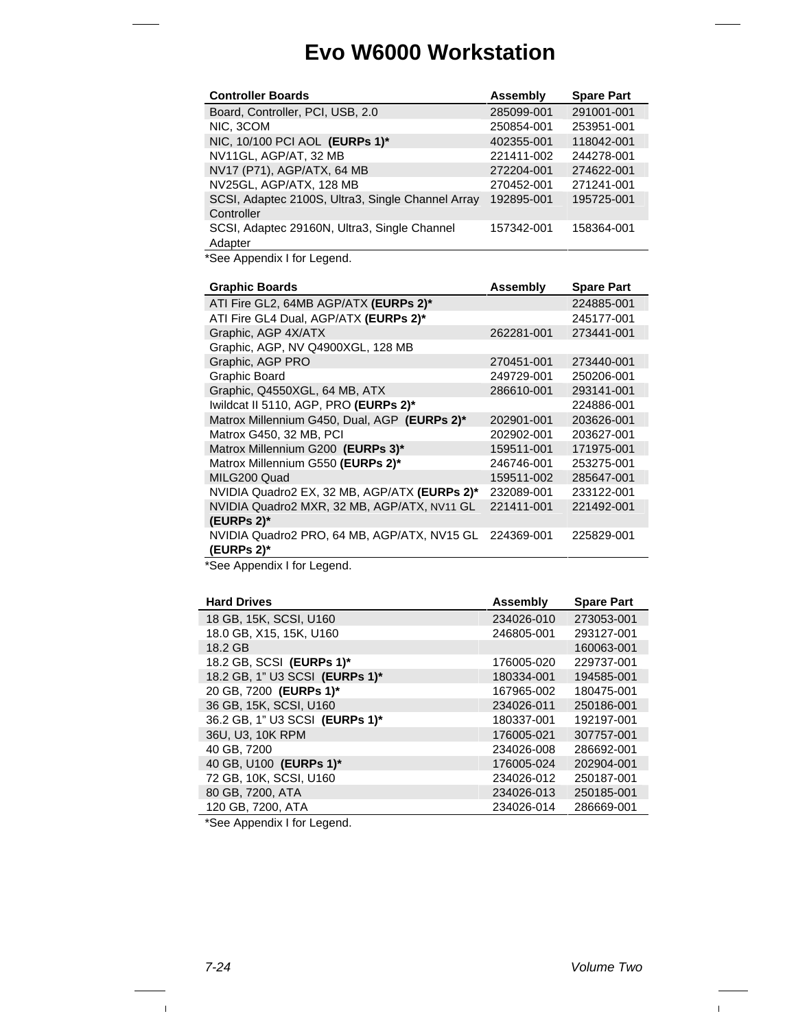| <b>Controller Boards</b>                                        | <b>Assembly</b> | <b>Spare Part</b> |
|-----------------------------------------------------------------|-----------------|-------------------|
| Board, Controller, PCI, USB, 2.0                                | 285099-001      | 291001-001        |
| NIC. 3COM                                                       | 250854-001      | 253951-001        |
| NIC, 10/100 PCI AOL (EURPs 1)*                                  | 402355-001      | 118042-001        |
| NV11GL, AGP/AT, 32 MB                                           | 221411-002      | 244278-001        |
| NV17 (P71), AGP/ATX, 64 MB                                      | 272204-001      | 274622-001        |
| NV25GL, AGP/ATX, 128 MB                                         | 270452-001      | 271241-001        |
| SCSI, Adaptec 2100S, Ultra3, Single Channel Array<br>Controller | 192895-001      | 195725-001        |
| SCSI, Adaptec 29160N, Ultra3, Single Channel<br>Adapter         | 157342-001      | 158364-001        |

\*See Appendix I for Legend.

| <b>Graphic Boards</b>                        | Assembly   | <b>Spare Part</b> |
|----------------------------------------------|------------|-------------------|
| ATI Fire GL2, 64MB AGP/ATX (EURPs 2)*        |            | 224885-001        |
| ATI Fire GL4 Dual, AGP/ATX (EURPs 2)*        |            | 245177-001        |
| Graphic, AGP 4X/ATX                          | 262281-001 | 273441-001        |
| Graphic, AGP, NV Q4900XGL, 128 MB            |            |                   |
| Graphic, AGP PRO                             | 270451-001 | 273440-001        |
| Graphic Board                                | 249729-001 | 250206-001        |
| Graphic, Q4550XGL, 64 MB, ATX                | 286610-001 | 293141-001        |
| Iwildcat II 5110, AGP, PRO (EURPs 2)*        |            | 224886-001        |
| Matrox Millennium G450, Dual, AGP (EURPs 2)* | 202901-001 | 203626-001        |
| Matrox G450, 32 MB, PCI                      | 202902-001 | 203627-001        |
| Matrox Millennium G200 (EURPs 3)*            | 159511-001 | 171975-001        |
| Matrox Millennium G550 (EURPs 2)*            | 246746-001 | 253275-001        |
| MILG200 Quad                                 | 159511-002 | 285647-001        |
| NVIDIA Quadro2 EX, 32 MB, AGP/ATX (EURPs 2)* | 232089-001 | 233122-001        |
| NVIDIA Quadro2 MXR, 32 MB, AGP/ATX, NV11 GL  | 221411-001 | 221492-001        |
| (EURPs $2$ )*                                |            |                   |
| NVIDIA Quadro2 PRO, 64 MB, AGP/ATX, NV15 GL  | 224369-001 | 225829-001        |
| (EURPs 2)*                                   |            |                   |

\*See Appendix I for Legend.

| <b>Hard Drives</b>             | Assembly   | <b>Spare Part</b> |
|--------------------------------|------------|-------------------|
| 18 GB, 15K, SCSI, U160         | 234026-010 | 273053-001        |
| 18.0 GB, X15, 15K, U160        | 246805-001 | 293127-001        |
| 18.2 GB                        |            | 160063-001        |
| 18.2 GB, SCSI (EURPs 1)*       | 176005-020 | 229737-001        |
| 18.2 GB, 1" U3 SCSI (EURPs 1)* | 180334-001 | 194585-001        |
| 20 GB, 7200 (EURPs 1)*         | 167965-002 | 180475-001        |
| 36 GB, 15K, SCSI, U160         | 234026-011 | 250186-001        |
| 36.2 GB, 1" U3 SCSI (EURPs 1)* | 180337-001 | 192197-001        |
| 36U, U3, 10K RPM               | 176005-021 | 307757-001        |
| 40 GB, 7200                    | 234026-008 | 286692-001        |
| 40 GB, U100 (EURPs 1)*         | 176005-024 | 202904-001        |
| 72 GB, 10K, SCSI, U160         | 234026-012 | 250187-001        |
| 80 GB, 7200, ATA               | 234026-013 | 250185-001        |
| 120 GB, 7200, ATA              | 234026-014 | 286669-001        |

\*See Appendix I for Legend.

 $\mathbf{L}$ 

 $\mathbf{I}$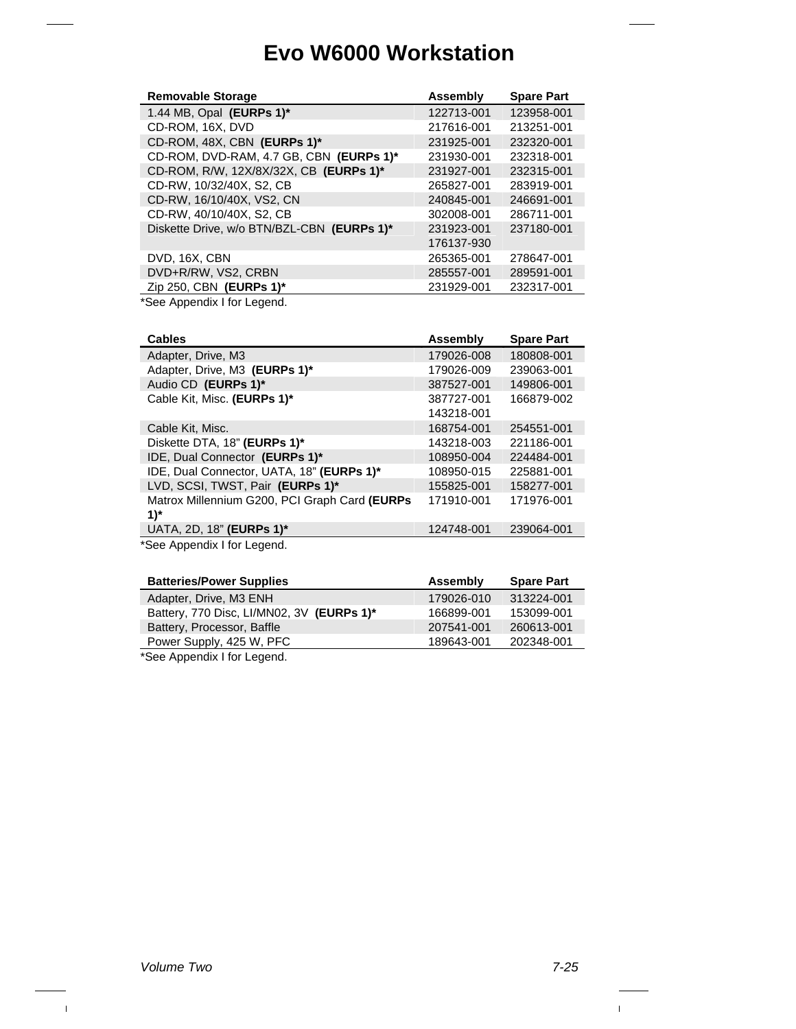| <b>Removable Storage</b>                   | Assembly   | <b>Spare Part</b> |
|--------------------------------------------|------------|-------------------|
| 1.44 MB, Opal (EURPs 1)*                   | 122713-001 | 123958-001        |
| CD-ROM, 16X, DVD                           | 217616-001 | 213251-001        |
| CD-ROM, 48X, CBN (EURPs 1)*                | 231925-001 | 232320-001        |
| CD-ROM, DVD-RAM, 4.7 GB, CBN (EURPs 1)*    | 231930-001 | 232318-001        |
| CD-ROM, R/W, 12X/8X/32X, CB (EURPs 1)*     | 231927-001 | 232315-001        |
| CD-RW, 10/32/40X, S2, CB                   | 265827-001 | 283919-001        |
| CD-RW, 16/10/40X, VS2, CN                  | 240845-001 | 246691-001        |
| CD-RW, 40/10/40X, S2, CB                   | 302008-001 | 286711-001        |
| Diskette Drive, w/o BTN/BZL-CBN (EURPs 1)* | 231923-001 | 237180-001        |
|                                            | 176137-930 |                   |
| DVD, 16X, CBN                              | 265365-001 | 278647-001        |
| DVD+R/RW, VS2, CRBN                        | 285557-001 | 289591-001        |
| Zip 250, CBN (EURPs 1)*                    | 231929-001 | 232317-001        |

\*See Appendix I for Legend.

| <b>Cables</b>                                          | Assembly   | <b>Spare Part</b> |
|--------------------------------------------------------|------------|-------------------|
| Adapter, Drive, M3                                     | 179026-008 | 180808-001        |
| Adapter, Drive, M3 (EURPs 1)*                          | 179026-009 | 239063-001        |
| Audio CD (EURPs 1)*                                    | 387527-001 | 149806-001        |
| Cable Kit, Misc. (EURPs 1)*                            | 387727-001 | 166879-002        |
|                                                        | 143218-001 |                   |
| Cable Kit, Misc.                                       | 168754-001 | 254551-001        |
| Diskette DTA, 18" (EURPs 1)*                           | 143218-003 | 221186-001        |
| IDE, Dual Connector (EURPs 1)*                         | 108950-004 | 224484-001        |
| IDE, Dual Connector, UATA, 18" (EURPs 1)*              | 108950-015 | 225881-001        |
| LVD, SCSI, TWST, Pair (EURPs 1)*                       | 155825-001 | 158277-001        |
| Matrox Millennium G200, PCI Graph Card (EURPs          | 171910-001 | 171976-001        |
| $1)$ *                                                 |            |                   |
| UATA, 2D, 18" (EURPs 1)*                               | 124748-001 | 239064-001        |
| $* \Omega$ and $\Lambda$ is a smaller than the sequent |            |                   |

\*See Appendix I for Legend.

| <b>Batteries/Power Supplies</b>                                                                                                                                                                                                                                                                                                                | Assembly   | <b>Spare Part</b> |
|------------------------------------------------------------------------------------------------------------------------------------------------------------------------------------------------------------------------------------------------------------------------------------------------------------------------------------------------|------------|-------------------|
| Adapter, Drive, M3 ENH                                                                                                                                                                                                                                                                                                                         | 179026-010 | 313224-001        |
| Battery, 770 Disc, LI/MN02, 3V (EURPs 1)*                                                                                                                                                                                                                                                                                                      | 166899-001 | 153099-001        |
| Battery, Processor, Baffle                                                                                                                                                                                                                                                                                                                     | 207541-001 | 260613-001        |
| Power Supply, 425 W, PFC                                                                                                                                                                                                                                                                                                                       | 189643-001 | 202348-001        |
| $*$ $\Omega$ = $=$ $\Lambda$ $=$ $=$ $=$ $\sim$ $\Lambda$ $=$ $\Lambda$ $=$ $\Lambda$ $=$ $\Lambda$ $=$ $\Lambda$ $=$ $\sim$ $\Lambda$ $=$ $\Lambda$ $=$ $\Lambda$ $=$ $\Lambda$ $=$ $\Lambda$ $=$ $\Lambda$ $=$ $\Lambda$ $=$ $\Lambda$ $=$ $\Lambda$ $=$ $\Lambda$ $=$ $\Lambda$ $=$ $\Lambda$ $=$ $\Lambda$ $=$ $\Lambda$ $=$ $\Lambda$ $=$ |            |                   |

\*See Appendix I for Legend.

 $\mathbf{I}$ 

 $\mathbf{L}$